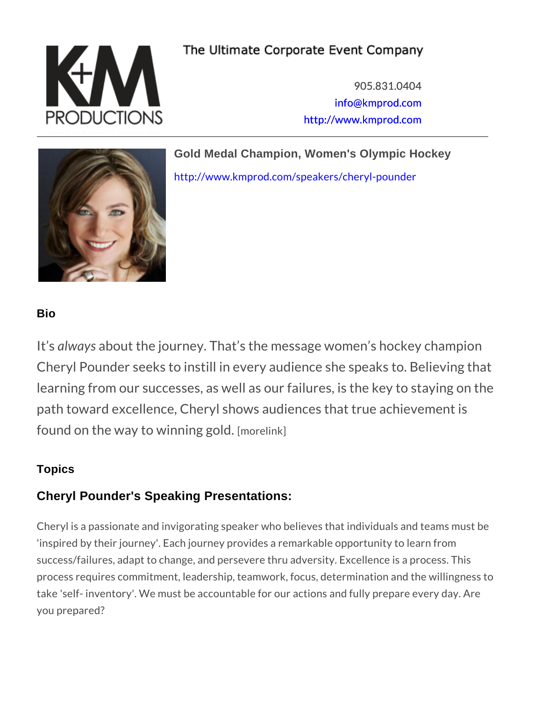905.831.0404 [info@kmpro](mailto:info@kmprod.com)d.com [http://www.kmp](http://www.kmprod.com)rod.com

Gold Medal Champion, Women's Olympic Hockey

[http://www.kmprod.com/speaker](http://www.kmprod.com/speakers/cheryl-pounder)s/cheryl-pounder

## Bio

It alwayas bout the journey. That s the message women Cheryl Pounder seeks to instill in every audience sl learning from our successes, as well as our failures path toward excellence, Cheryl shows audiences that found on the way to winno neining kigold.

## **Topics**

## Cheryl Pounder's Speaking Presentations:

Cheryl is a passionate and invigorating speaker who believes th 'inspired by their journey'. Each journey provides a remarkable success/failures, adapt to change, and persevere thru adversity. process requires commitment, leadership, teamwork, focus, dete take 'self- inventory'. We must be accountable for our actions a you prepared?